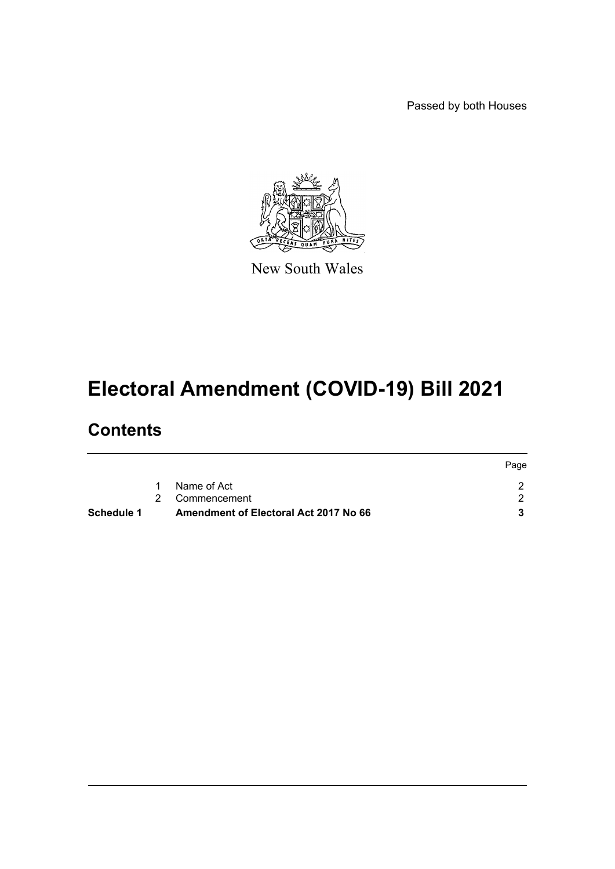Passed by both Houses



New South Wales

# **Electoral Amendment (COVID-19) Bill 2021**

## **Contents**

|            |                                              | Page |
|------------|----------------------------------------------|------|
|            | Name of Act<br>1                             |      |
|            | 2 Commencement                               |      |
| Schedule 1 | <b>Amendment of Electoral Act 2017 No 66</b> |      |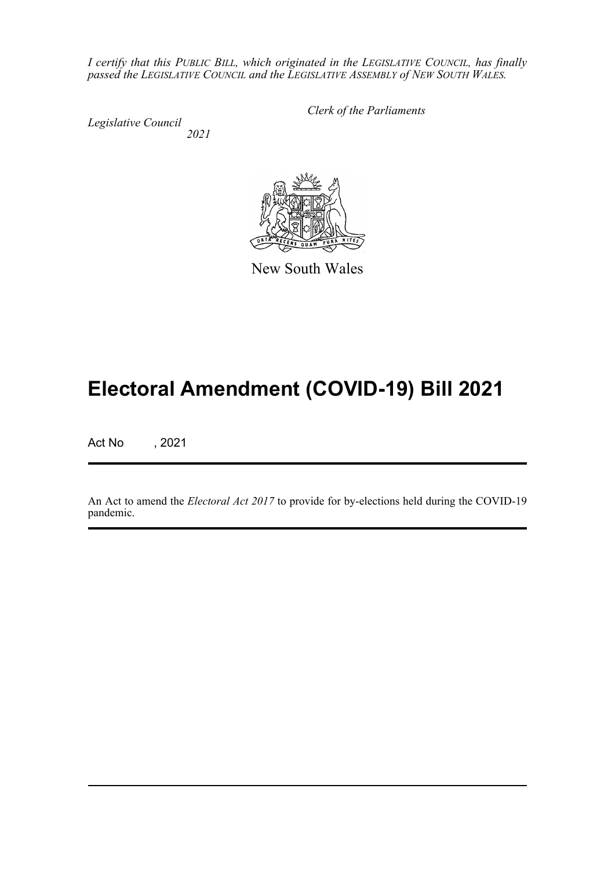*I certify that this PUBLIC BILL, which originated in the LEGISLATIVE COUNCIL, has finally passed the LEGISLATIVE COUNCIL and the LEGISLATIVE ASSEMBLY of NEW SOUTH WALES.*

*Legislative Council 2021* *Clerk of the Parliaments*

New South Wales

## **Electoral Amendment (COVID-19) Bill 2021**

Act No , 2021

An Act to amend the *Electoral Act 2017* to provide for by-elections held during the COVID-19 pandemic.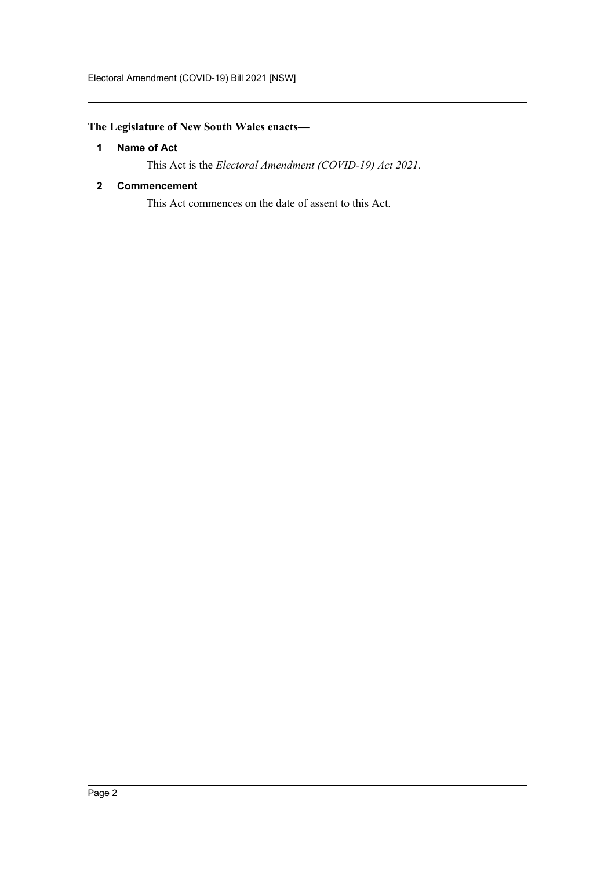### <span id="page-2-0"></span>**The Legislature of New South Wales enacts—**

#### **1 Name of Act**

This Act is the *Electoral Amendment (COVID-19) Act 2021*.

#### <span id="page-2-1"></span>**2 Commencement**

This Act commences on the date of assent to this Act.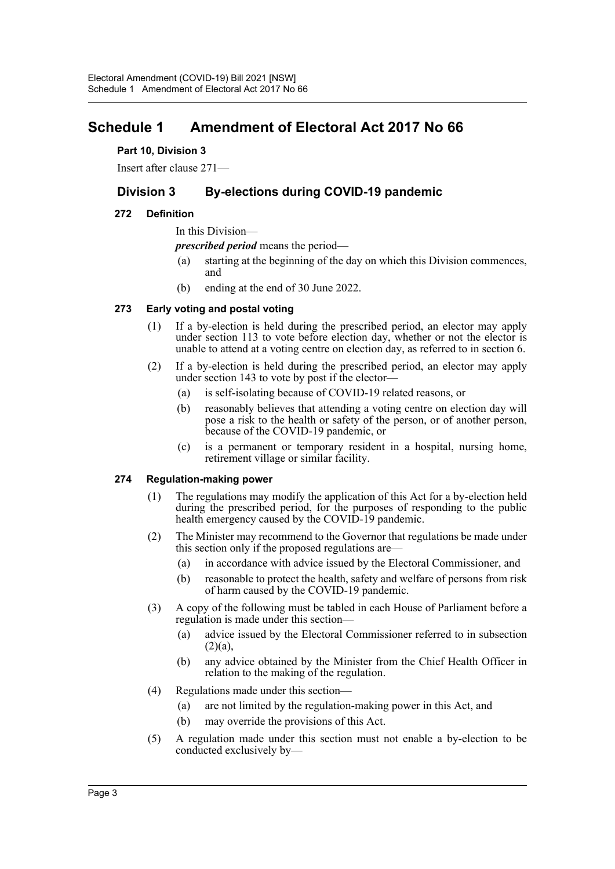## <span id="page-3-0"></span>**Schedule 1 Amendment of Electoral Act 2017 No 66**

#### **Part 10, Division 3**

Insert after clause 271—

### **Division 3 By-elections during COVID-19 pandemic**

#### **272 Definition**

In this Division—

*prescribed period* means the period—

- (a) starting at the beginning of the day on which this Division commences, and
- (b) ending at the end of 30 June 2022.

#### **273 Early voting and postal voting**

- (1) If a by-election is held during the prescribed period, an elector may apply under section 113 to vote before election day, whether or not the elector is unable to attend at a voting centre on election day, as referred to in section 6.
- (2) If a by-election is held during the prescribed period, an elector may apply under section 143 to vote by post if the elector-
	- (a) is self-isolating because of COVID-19 related reasons, or
	- (b) reasonably believes that attending a voting centre on election day will pose a risk to the health or safety of the person, or of another person, because of the COVID-19 pandemic, or
	- (c) is a permanent or temporary resident in a hospital, nursing home, retirement village or similar facility.

#### **274 Regulation-making power**

- (1) The regulations may modify the application of this Act for a by-election held during the prescribed period, for the purposes of responding to the public health emergency caused by the COVID-19 pandemic.
- (2) The Minister may recommend to the Governor that regulations be made under this section only if the proposed regulations are—
	- (a) in accordance with advice issued by the Electoral Commissioner, and
	- (b) reasonable to protect the health, safety and welfare of persons from risk of harm caused by the COVID-19 pandemic.
- (3) A copy of the following must be tabled in each House of Parliament before a regulation is made under this section—
	- (a) advice issued by the Electoral Commissioner referred to in subsection  $(2)(a),$
	- (b) any advice obtained by the Minister from the Chief Health Officer in relation to the making of the regulation.
- (4) Regulations made under this section—
	- (a) are not limited by the regulation-making power in this Act, and
	- (b) may override the provisions of this Act.
- (5) A regulation made under this section must not enable a by-election to be conducted exclusively by—